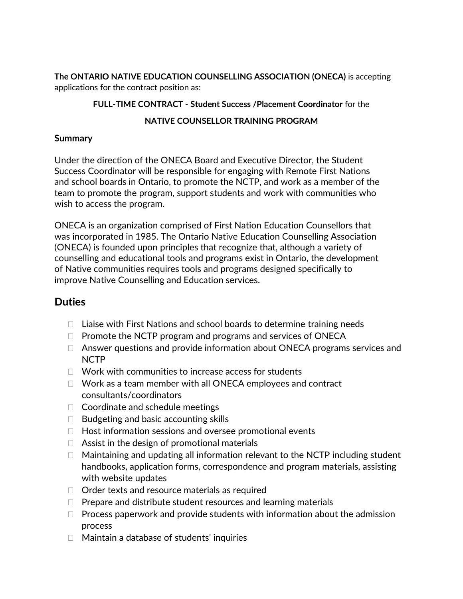**The ONTARIO NATIVE EDUCATION COUNSELLING ASSOCIATION (ONECA)** is accepting applications for the contract position as:

#### **FULL-TIME CONTRACT** - **Student Success /Placement Coordinator** for the

### **NATIVE COUNSELLOR TRAINING PROGRAM**

#### **Summary**

Under the direction of the ONECA Board and Executive Director, the Student Success Coordinator will be responsible for engaging with Remote First Nations and school boards in Ontario, to promote the NCTP, and work as a member of the team to promote the program, support students and work with communities who wish to access the program.

ONECA is an organization comprised of First Nation Education Counsellors that was incorporated in 1985. The Ontario Native Education Counselling Association (ONECA) is founded upon principles that recognize that, although a variety of counselling and educational tools and programs exist in Ontario, the development of Native communities requires tools and programs designed specifically to improve Native Counselling and Education services.

# **Duties**

- $\Box$  Liaise with First Nations and school boards to determine training needs
- $\Box$  Promote the NCTP program and programs and services of ONECA
- $\Box$  Answer questions and provide information about ONECA programs services and NCTP
- $\Box$  Work with communities to increase access for students
- $\Box$  Work as a team member with all ONECA employees and contract consultants/coordinators
- $\Box$  Coordinate and schedule meetings
- $\Box$  Budgeting and basic accounting skills
- $\Box$  Host information sessions and oversee promotional events
- $\Box$  Assist in the design of promotional materials
- $\Box$  Maintaining and updating all information relevant to the NCTP including student handbooks, application forms, correspondence and program materials, assisting with website updates
- $\Box$  Order texts and resource materials as required
- $\Box$  Prepare and distribute student resources and learning materials
- $\Box$  Process paperwork and provide students with information about the admission process
- $\Box$  Maintain a database of students' inquiries